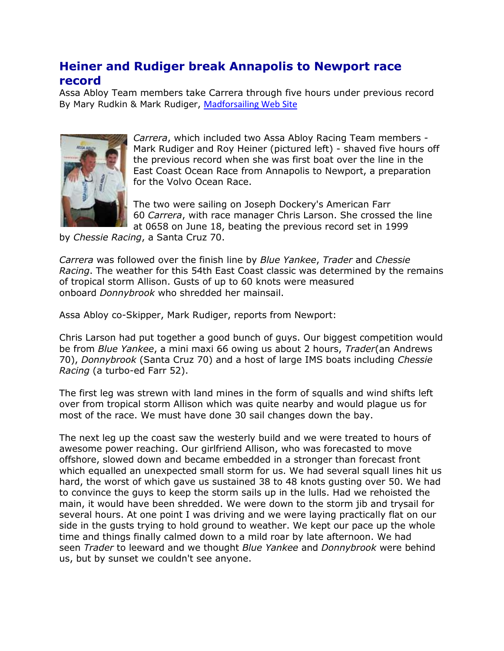## **Heiner and Rudiger break Annapolis to Newport race record**

Assa Abloy Team members take Carrera through five hours under previous record By Mary Rudkin & Mark Rudiger, [Madforsailing Web Site](http://www.madforsailing.com/)



*Carrera*, which included two Assa Abloy Racing Team members - Mark Rudiger and Roy Heiner (pictured left) - shaved five hours off the previous record when she was first boat over the line in the East Coast Ocean Race from Annapolis to Newport, a preparation for the Volvo Ocean Race.

The two were sailing on Joseph Dockery's American Farr 60 *Carrera*, with race manager Chris Larson. She crossed the line at 0658 on June 18, beating the previous record set in 1999

by *Chessie Racing*, a Santa Cruz 70.

*Carrera* was followed over the finish line by *Blue Yankee*, *Trader* and *Chessie Racing*. The weather for this 54th East Coast classic was determined by the remains of tropical storm Allison. Gusts of up to 60 knots were measured onboard *Donnybrook* who shredded her mainsail.

Assa Abloy co-Skipper, Mark Rudiger, reports from Newport:

Chris Larson had put together a good bunch of guys. Our biggest competition would be from *Blue Yankee*, a mini maxi 66 owing us about 2 hours, *Trader*(an Andrews 70), *Donnybrook* (Santa Cruz 70) and a host of large IMS boats including *Chessie Racing* (a turbo-ed Farr 52).

The first leg was strewn with land mines in the form of squalls and wind shifts left over from tropical storm Allison which was quite nearby and would plague us for most of the race. We must have done 30 sail changes down the bay.

The next leg up the coast saw the westerly build and we were treated to hours of awesome power reaching. Our girlfriend Allison, who was forecasted to move offshore, slowed down and became embedded in a stronger than forecast front which equalled an unexpected small storm for us. We had several squall lines hit us hard, the worst of which gave us sustained 38 to 48 knots gusting over 50. We had to convince the guys to keep the storm sails up in the lulls. Had we rehoisted the main, it would have been shredded. We were down to the storm jib and trysail for several hours. At one point I was driving and we were laying practically flat on our side in the gusts trying to hold ground to weather. We kept our pace up the whole time and things finally calmed down to a mild roar by late afternoon. We had seen *Trader* to leeward and we thought *Blue Yankee* and *Donnybrook* were behind us, but by sunset we couldn't see anyone.